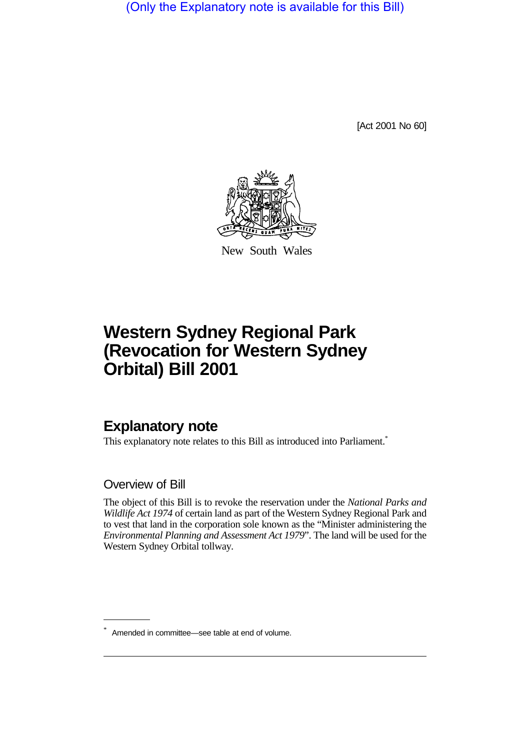(Only the Explanatory note is available for this Bill)

[Act 2001 No 60]



New South Wales

## **Western Sydney Regional Park (Revocation for Western Sydney Orbital) Bill 2001**

## **Explanatory note**

This explanatory note relates to this Bill as introduced into Parliament.<sup>\*</sup>

## Overview of Bill

The object of this Bill is to revoke the reservation under the *National Parks and Wildlife Act 1974* of certain land as part of the Western Sydney Regional Park and to vest that land in the corporation sole known as the "Minister administering the *Environmental Planning and Assessment Act 1979*". The land will be used for the Western Sydney Orbital tollway.

<sup>\*</sup> Amended in committee—see table at end of volume.